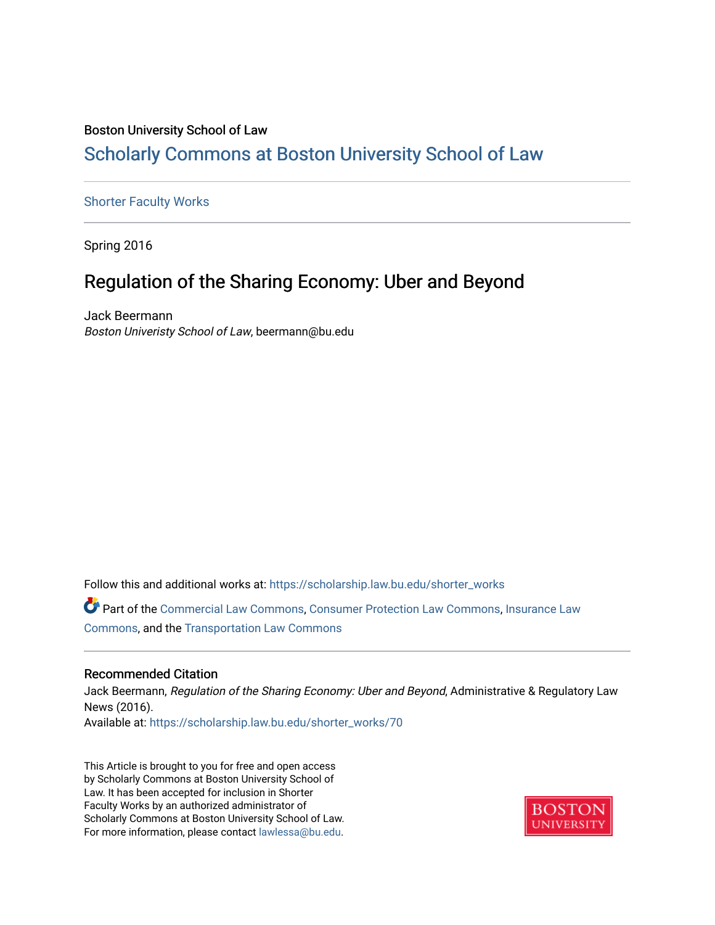### Boston University School of Law [Scholarly Commons at Boston University School of Law](https://scholarship.law.bu.edu/)

#### [Shorter Faculty Works](https://scholarship.law.bu.edu/shorter_works)

Spring 2016

## Regulation of the Sharing Economy: Uber and Beyond

Jack Beermann Boston Univeristy School of Law, beermann@bu.edu

Follow this and additional works at: [https://scholarship.law.bu.edu/shorter\\_works](https://scholarship.law.bu.edu/shorter_works?utm_source=scholarship.law.bu.edu%2Fshorter_works%2F70&utm_medium=PDF&utm_campaign=PDFCoverPages)

Part of the [Commercial Law Commons](http://network.bepress.com/hgg/discipline/586?utm_source=scholarship.law.bu.edu%2Fshorter_works%2F70&utm_medium=PDF&utm_campaign=PDFCoverPages), [Consumer Protection Law Commons,](http://network.bepress.com/hgg/discipline/838?utm_source=scholarship.law.bu.edu%2Fshorter_works%2F70&utm_medium=PDF&utm_campaign=PDFCoverPages) [Insurance Law](http://network.bepress.com/hgg/discipline/607?utm_source=scholarship.law.bu.edu%2Fshorter_works%2F70&utm_medium=PDF&utm_campaign=PDFCoverPages)  [Commons](http://network.bepress.com/hgg/discipline/607?utm_source=scholarship.law.bu.edu%2Fshorter_works%2F70&utm_medium=PDF&utm_campaign=PDFCoverPages), and the [Transportation Law Commons](http://network.bepress.com/hgg/discipline/885?utm_source=scholarship.law.bu.edu%2Fshorter_works%2F70&utm_medium=PDF&utm_campaign=PDFCoverPages) 

#### Recommended Citation

Jack Beermann, Regulation of the Sharing Economy: Uber and Beyond, Administrative & Regulatory Law News (2016). Available at: [https://scholarship.law.bu.edu/shorter\\_works/70](https://scholarship.law.bu.edu/shorter_works/70?utm_source=scholarship.law.bu.edu%2Fshorter_works%2F70&utm_medium=PDF&utm_campaign=PDFCoverPages)

This Article is brought to you for free and open access by Scholarly Commons at Boston University School of Law. It has been accepted for inclusion in Shorter Faculty Works by an authorized administrator of Scholarly Commons at Boston University School of Law. For more information, please contact [lawlessa@bu.edu](mailto:lawlessa@bu.edu).

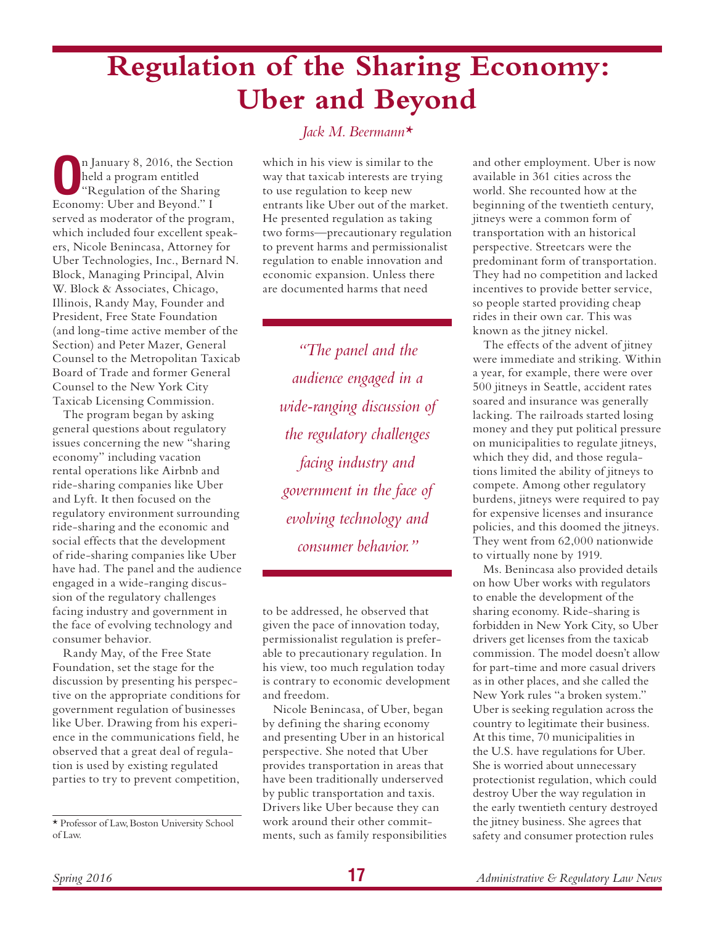## **Regulation of the Sharing Economy: Uber and Beyond**

**O**n January 8, 2016, the Section<br>
held a program entitled<br>
"Regulation of the Sharing<br>
Feonomy: I lber and Bayond." I held a program entitled Economy: Uber and Beyond." I served as moderator of the program, which included four excellent speakers, Nicole Benincasa, Attorney for Uber Technologies, Inc., Bernard N. Block, Managing Principal, Alvin W. Block & Associates, Chicago, Illinois, Randy May, Founder and President, Free State Foundation (and long-time active member of the Section) and Peter Mazer, General Counsel to the Metropolitan Taxicab Board of Trade and former General Counsel to the New York City Taxicab Licensing Commission.

The program began by asking general questions about regulatory issues concerning the new "sharing economy" including vacation rental operations like Airbnb and ride-sharing companies like Uber and Lyft. It then focused on the regulatory environment surrounding ride-sharing and the economic and social effects that the development of ride-sharing companies like Uber have had. The panel and the audience engaged in a wide-ranging discussion of the regulatory challenges facing industry and government in the face of evolving technology and consumer behavior.

Randy May, of the Free State Foundation, set the stage for the discussion by presenting his perspective on the appropriate conditions for government regulation of businesses like Uber. Drawing from his experience in the communications field, he observed that a great deal of regulation is used by existing regulated parties to try to prevent competition,

#### *Jack M. Beermann\**

which in his view is similar to the way that taxicab interests are trying to use regulation to keep new entrants like Uber out of the market. He presented regulation as taking two forms—precautionary regulation to prevent harms and permissionalist regulation to enable innovation and economic expansion. Unless there are documented harms that need

*"The panel and the audience engaged in a wide-ranging discussion of the regulatory challenges facing industry and government in the face of evolving technology and consumer behavior."*

to be addressed, he observed that given the pace of innovation today, permissionalist regulation is preferable to precautionary regulation. In his view, too much regulation today is contrary to economic development and freedom.

Nicole Benincasa, of Uber, began by defining the sharing economy and presenting Uber in an historical perspective. She noted that Uber provides transportation in areas that have been traditionally underserved by public transportation and taxis. Drivers like Uber because they can work around their other commitments, such as family responsibilities

and other employment. Uber is now available in 361 cities across the world. She recounted how at the beginning of the twentieth century, jitneys were a common form of transportation with an historical perspective. Streetcars were the predominant form of transportation. They had no competition and lacked incentives to provide better service, so people started providing cheap rides in their own car. This was known as the jitney nickel.

The effects of the advent of jitney were immediate and striking. Within a year, for example, there were over 500 jitneys in Seattle, accident rates soared and insurance was generally lacking. The railroads started losing money and they put political pressure on municipalities to regulate jitneys, which they did, and those regulations limited the ability of jitneys to compete. Among other regulatory burdens, jitneys were required to pay for expensive licenses and insurance policies, and this doomed the jitneys. They went from 62,000 nationwide to virtually none by 1919.

Ms. Benincasa also provided details on how Uber works with regulators to enable the development of the sharing economy. Ride-sharing is forbidden in New York City, so Uber drivers get licenses from the taxicab commission. The model doesn't allow for part-time and more casual drivers as in other places, and she called the New York rules "a broken system." Uber is seeking regulation across the country to legitimate their business. At this time, 70 municipalities in the U.S. have regulations for Uber. She is worried about unnecessary protectionist regulation, which could destroy Uber the way regulation in the early twentieth century destroyed the jitney business. She agrees that safety and consumer protection rules

<sup>\*</sup> Professor of Law, Boston University School of Law.